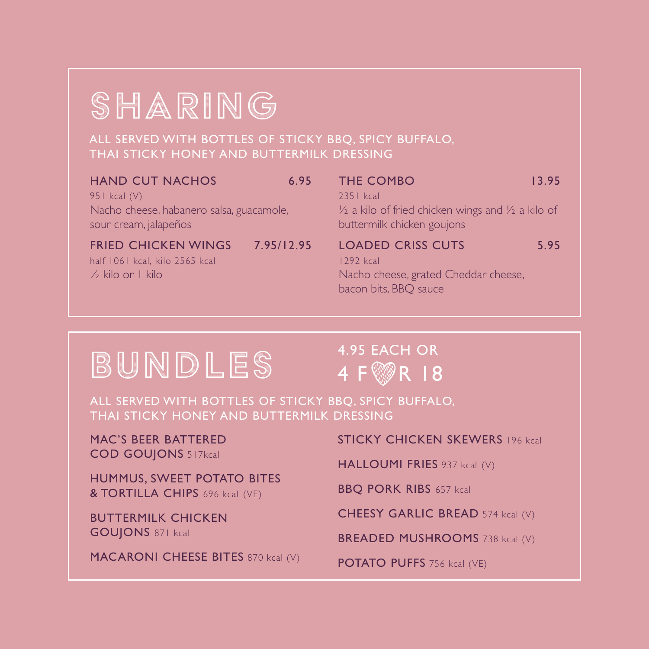# SHARING

ALL SERVED WITH BOTTLES OF STICKY BBQ, SPICY BUFFALO, THAI STICKY HONEY AND BUTTERMILK DRESSING

| <b>HAND CUT NACHOS</b> | 6.95 |
|------------------------|------|
|------------------------|------|

951 kcal (V) Nacho cheese, habanero salsa, guacamole, sour cream, jalapeños

FRIED CHICKEN WINGS 7.95/12.95 half 1061 kcal, kilo 2565 kcal

½ kilo or 1 kilo

| <b>THE COMBO</b>                                                        | 13.95 |
|-------------------------------------------------------------------------|-------|
| 2351 kcal                                                               |       |
| $\frac{1}{2}$ a kilo of fried chicken wings and $\frac{1}{2}$ a kilo of |       |
| buttermilk chicken goujons                                              |       |
| <b>LOADED CRISS CUTS</b>                                                | 5.95  |
| $1292$ kcal                                                             |       |

Nacho cheese, grated Cheddar cheese, bacon bits, BBQ sauce

# BUNDLES

## 4.95 EACH OR 4 F **R**  $\sqrt{8}$  R  $\sqrt{18}$

ALL SERVED WITH BOTTLES OF STICKY BBQ, SPICY BUFFALO, THAI STICKY HONEY AND BUTTERMILK DRESSING

MAC'S BEER BATTERED COD GOUJONS 517kcal

HUMMUS, SWEET POTATO BITES & TORTILLA CHIPS 696 kcal (VE)

BUTTERMILK CHICKEN GOUJONS 871 kcal

MACARONI CHEESE BITES 870 kcal (V)

STICKY CHICKEN SKEWERS 196 kcal

HALLOUMI FRIES 937 kcal (V)

BBQ PORK RIBS 657 kcal

CHEESY GARLIC BREAD 574 kcal (V)

BREADED MUSHROOMS 738 kcal (V)

POTATO PUFFS 756 kcal (VE)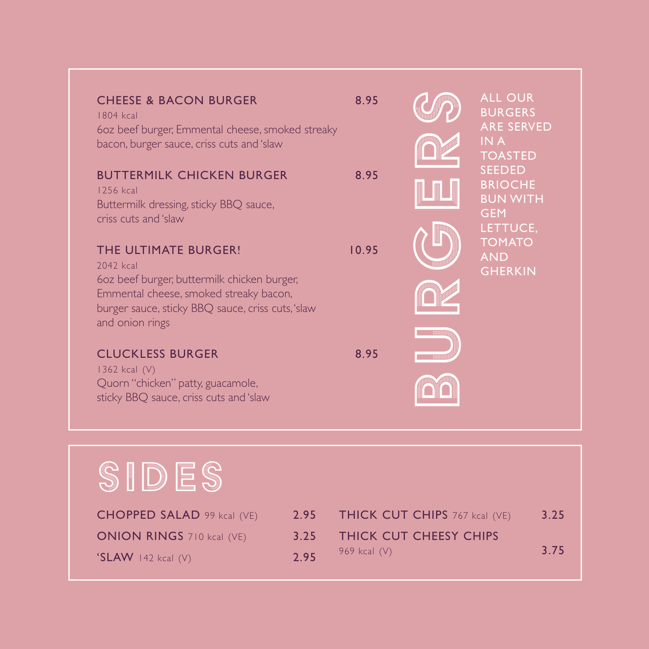| <b>CHEESE &amp; BACON BURGER</b><br>1804 kcal<br>60z beef burger, Emmental cheese, smoked streaky<br>bacon, burger sauce, criss cuts and 'slaw<br><b>BUTTERMILK CHICKEN BURGER</b><br>1256 kcal<br>Buttermilk dressing, sticky BBQ sauce,<br>criss cuts and 'slaw | 8.95<br>8.95 |              | <b>ALL OUR</b><br><b>BURGERS</b><br><b>ARE SERVED</b><br>IN A<br><b>TOASTED</b><br><b>SEEDED</b><br><b>BRIOCHE</b><br><b>BUN WITH</b><br><b>GEM</b><br>LETTUCE. |
|-------------------------------------------------------------------------------------------------------------------------------------------------------------------------------------------------------------------------------------------------------------------|--------------|--------------|-----------------------------------------------------------------------------------------------------------------------------------------------------------------|
| THE ULTIMATE BURGER!<br>2042 kcal<br>60z beef burger, buttermilk chicken burger,<br>Emmental cheese, smoked streaky bacon,<br>burger sauce, sticky BBQ sauce, criss cuts, 'slaw<br>and onion rings                                                                | 10.95        | <b>THEFT</b> | <b>TOMATO</b><br><b>AND</b><br><b>GHERKIN</b>                                                                                                                   |
| <b>CLUCKLESS BURGER</b><br>1362 kcal (V)<br>Quorn "chicken" patty, guacamole,<br>sticky BBQ sauce, criss cuts and 'slaw                                                                                                                                           | 8.95         |              |                                                                                                                                                                 |

# SIDES

| <b>CHOPPED SALAD</b> 99 kcal $(VE)$ | 2.95 THICK CUT CHIPS 767 kcal (VE) | 3.25 |
|-------------------------------------|------------------------------------|------|
| <b>ONION RINGS</b> 710 kcal (VE)    | 3.25 THICK CUT CHEESY CHIPS        |      |
| $\text{SLAW}$ 142 kcal (V)          | 2.95 969 kcal $(V)$                | 3.75 |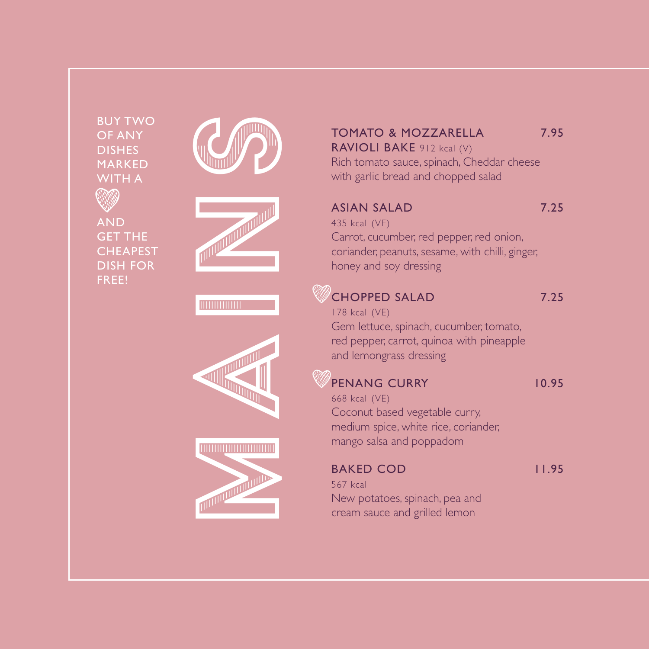BUY TWO OF ANY DISHES MARKED

AND GET THE CHEAPEST DISH FOR FREE!











#### TOMATO & MOZZARELLA 7.95 RAVIOLI BAKE 912 kcal (V)

Rich tomato sauce, spinach, Cheddar cheese with garlic bread and chopped salad

#### ASIAN SALAD 7.25

435 kcal (VE) Carrot, cucumber, red pepper, red onion, coriander, peanuts, sesame, with chilli, ginger, honey and soy dressing

### **CHOPPED SALAD** 7.25

178 kcal (VE) Gem lettuce, spinach, cucumber, tomato, red pepper, carrot, quinoa with pineapple and lemongrass dressing

#### PENANG CURRY 10.95

668 kcal (VE) Coconut based vegetable curry, medium spice, white rice, coriander, mango salsa and poppadom

#### BAKED COD 11.95

567 kcal New potatoes, spinach, pea and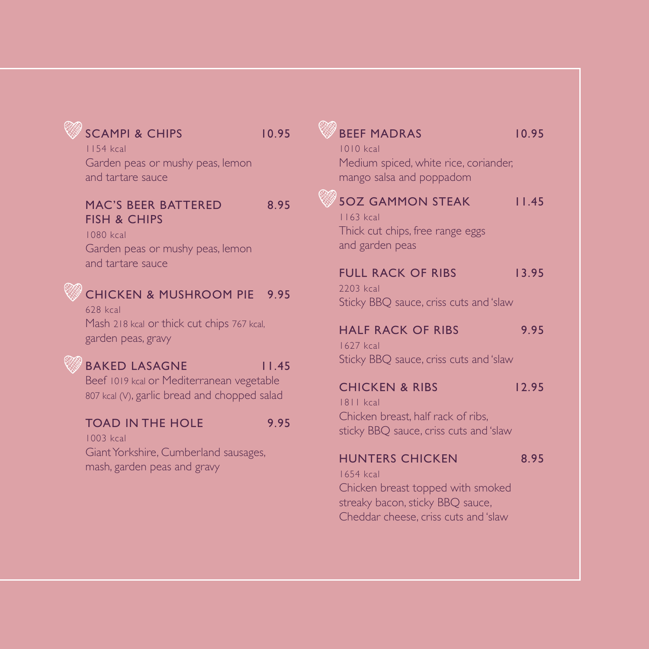## SCAMPI & CHIPS 10.95

1154 kcal Garden peas or mushy peas, lemon and tartare sauce

#### MAC'S BEER BATTERED 8.95 FISH & CHIPS

1080 kcal Garden peas or mushy peas, lemon and tartare sauce

## CHICKEN & MUSHROOM PIE 9.95

628 kcal Mash 218 kcal or thick cut chips 767 kcal, garden peas, gravy

#### BAKED LASAGNE 11.45

Beef 1019 kcal or Mediterranean vegetable 807 kcal (V), garlic bread and chopped salad

#### TOAD IN THE HOLE 9.95

1003 kcal Giant Yorkshire, Cumberland sausages, mash, garden peas and gravy

## BEEF MADRAS 10.95 1010 kcal Medium spiced, white rice, coriander, mango salsa and poppadom 5OZ GAMMON STFAK 1145 1163 kcal Thick cut chips, free range eggs and garden peas FULL RACK OF RIBS 13.95 2203 kcal Sticky BBQ sauce, criss cuts and 'slaw HALF RACK OF RIBS 9.95 1627 kcal Sticky BBQ sauce, criss cuts and 'slaw CHICKEN & RIBS 12.95 1811 kcal Chicken breast, half rack of ribs, sticky BBQ sauce, criss cuts and 'slaw HUNTERS CHICKEN 8.95 1654 kcal

Chicken breast topped with smoked streaky bacon, sticky BBQ sauce, Cheddar cheese, criss cuts and 'slaw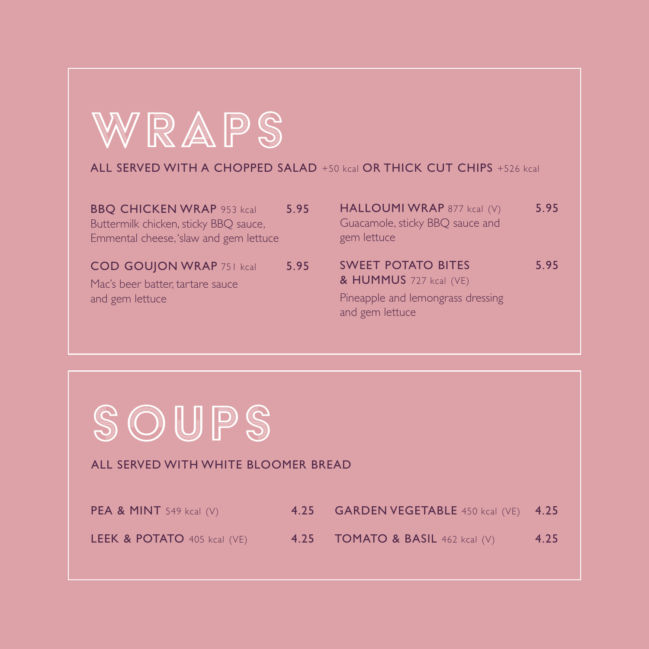

#### ALL SERVED WITH A CHOPPED SALAD +50 kcal OR THICK CUT CHIPS +526 kcal

| <b>BBQ CHICKEN WRAP 953 kcal</b><br>Buttermilk chicken, sticky BBQ sauce,<br>Emmental cheese, 'slaw and gem lettuce | 5.95 | HALLOUMI WRAP 877 kcal (V)<br>Guacamole, sticky BBQ sauce and<br>gem lettuce | 5.95 |
|---------------------------------------------------------------------------------------------------------------------|------|------------------------------------------------------------------------------|------|
| <b>COD GOUJON WRAP 751 kcal</b><br>Mac's beer batter, tartare sauce                                                 | 5.95 | <b>SWEET POTATO BITES</b><br>& HUMMUS 727 kcal (VE)                          | 5.95 |
| and gem lettuce                                                                                                     |      | Pineapple and lemongrass dressing<br>and gem lettuce                         |      |



#### ALL SERVED WITH WHITE BLOOMER BREAD

| <b>PEA &amp; MINT</b> 549 kcal $(V)$   | 4.25 GARDEN VEGETABLE 450 kcal (VE) 4.25        |      |
|----------------------------------------|-------------------------------------------------|------|
| <b>LEEK &amp; POTATO</b> 405 kcal (VE) | <b>4.25 • TOMATO &amp; BASIL</b> 462 kcal $(V)$ | 4.25 |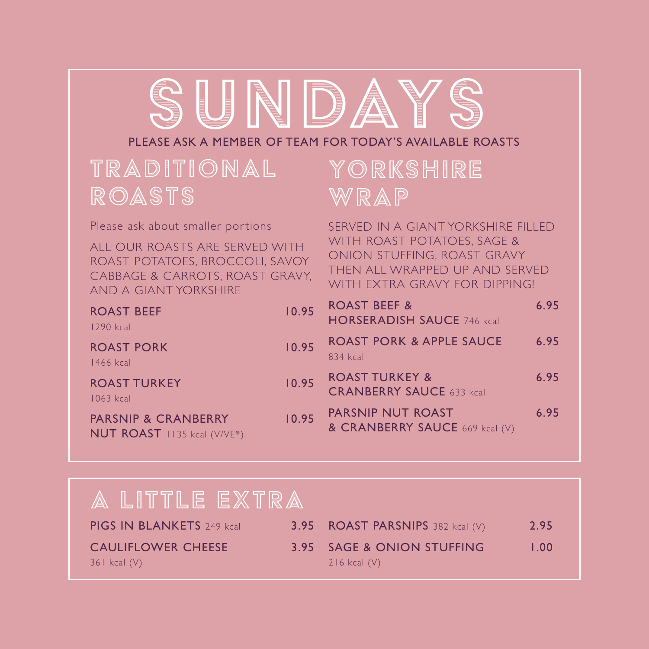# SUNDAY

#### PLEASE ASK A MEMBER OF TEAM FOR TODAY'S AVAILABLE ROASTS

## TRADITIONAL ROASTS

Please ask about smaller portions

ALL OUR ROASTS ARE SERVED WITH ROAST POTATOES, BROCCOLI, SAVOY CABBAGE & CARROTS, ROAST GRAVY, AND A GIANT YORKSHIRE

| <b>ROAST BEEF</b><br>1290 kcal   | 10.95               | RC<br>H             |
|----------------------------------|---------------------|---------------------|
| <b>ROAST PORK</b><br>1466 kcal   | 10.95               | <b>RC</b><br>$83 -$ |
| <b>ROAST TURKEY</b><br>1063 kcal | 10.95 <sup>RC</sup> |                     |

PARSNIP & CRANBERRY 10. NUT ROAST 1135 kcal (V/VE\*)

## YORKSHIRE WRAP

SERVED IN A GIANT YORKSHIRE FILLED WITH ROAST POTATOES, SAGE & ONION STUFFING, ROAST GRAVY THEN ALL WRAPPED UP AND SERVED WITH FXTRA GRAVY FOR DIPPING!

| .95 | <b>ROAST BEEF &amp;</b><br><b>HORSERADISH SAUCE 746 kcal</b> | 6.95 |
|-----|--------------------------------------------------------------|------|
| .95 | <b>ROAST PORK &amp; APPLE SAUCE</b><br>834 kcal              | 6.95 |
| .95 | <b>ROAST TURKEY &amp;</b><br><b>CRANBERRY SAUCE 633 kcal</b> | 6.95 |
| .95 | PARSNIP NUT ROAST<br>& CRANBERRY SAUCE 669 kcal (V)          | 6.95 |

## A LITTLE EXTRA

| <b>PIGS IN BLANKETS</b> 249 kcal              | <b>3.95 ROAST PARSNIPS</b> 382 kcal $(V)$      | 2.95 |
|-----------------------------------------------|------------------------------------------------|------|
| <b>CAULIFLOWER CHEESE</b><br>$361$ kcal $(V)$ | 3.95 SAGE & ONION STUFFING<br>$216$ kcal $(V)$ | 1.00 |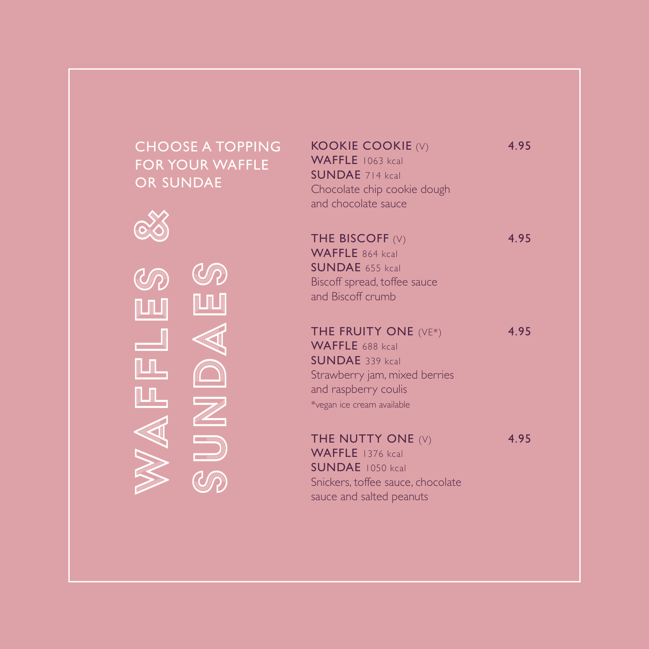#### KOOKIE COOKIE (V) 4.95 WAFFLE 1063 kcal SUNDAE 714 kcal Chocolate chip cookie dough and chocolate sauce THE BISCOFF  $(V)$  4.95 WAFFLE 864 kcal SUNDAE 655 kcal Biscoff spread, toffee sauce and Biscoff crumb THE FRUITY ONE (VE\*) 4.95 WAFFLE 688 kcal SUNDAE 339 kcal Strawberry jam, mixed berries and raspberry coulis \*vegan ice cream available THE NUTTY ONE  $(V)$  4.95 WAFFLE 1376 kcal SUNDAE 1050 kcal Snickers, toffee sauce, chocolate sauce and salted peanuts CHOOSE A TOPPING FOR YOUR WAFFLE OR SUNDAE WAFFLES<br>SUNDAES